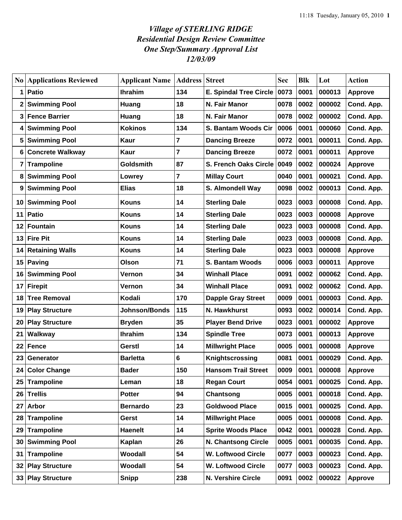## *Village of STERLING RIDGE Residential Design Review Committee One Step/Summary Approval List 12/03/09*

| N <sub>0</sub> | <b>Applications Reviewed</b> | <b>Applicant Name</b> | <b>Address Street</b> |                               | <b>Sec</b> | <b>Blk</b> | Lot    | <b>Action</b>  |
|----------------|------------------------------|-----------------------|-----------------------|-------------------------------|------------|------------|--------|----------------|
| 1              | <b>Patio</b>                 | <b>Ihrahim</b>        | 134                   | <b>E. Spindal Tree Circle</b> | 0073       | 0001       | 000013 | <b>Approve</b> |
|                | <b>Swimming Pool</b>         | Huang                 | 18                    | N. Fair Manor                 | 0078       | 0002       | 000002 | Cond. App.     |
| 3              | <b>Fence Barrier</b>         | Huang                 | 18                    | N. Fair Manor                 | 0078       | 0002       | 000002 | Cond. App.     |
| 4              | <b>Swimming Pool</b>         | <b>Kokinos</b>        | 134                   | S. Bantam Woods Cir           | 0006       | 0001       | 000060 | Cond. App.     |
| 5              | <b>Swimming Pool</b>         | <b>Kaur</b>           | 7                     | <b>Dancing Breeze</b>         | 0072       | 0001       | 000011 | Cond. App.     |
| 6              | <b>Concrete Walkway</b>      | Kaur                  | 7                     | <b>Dancing Breeze</b>         | 0072       | 0001       | 000011 | <b>Approve</b> |
| 7              | <b>Trampoline</b>            | <b>Goldsmith</b>      | 87                    | <b>S. French Oaks Circle</b>  | 0049       | 0002       | 000024 | Approve        |
| 8              | <b>Swimming Pool</b>         | Lowrey                | 7                     | <b>Millay Court</b>           | 0040       | 0001       | 000021 | Cond. App.     |
| 9              | <b>Swimming Pool</b>         | <b>Elias</b>          | 18                    | S. Almondell Way              | 0098       | 0002       | 000013 | Cond. App.     |
| 10             | <b>Swimming Pool</b>         | <b>Kouns</b>          | 14                    | <b>Sterling Dale</b>          | 0023       | 0003       | 000008 | Cond. App.     |
| 11             | Patio                        | <b>Kouns</b>          | 14                    | <b>Sterling Dale</b>          | 0023       | 0003       | 000008 | Approve        |
| 12             | Fountain                     | <b>Kouns</b>          | 14                    | <b>Sterling Dale</b>          | 0023       | 0003       | 000008 | Cond. App.     |
| 13             | <b>Fire Pit</b>              | <b>Kouns</b>          | 14                    | <b>Sterling Dale</b>          | 0023       | 0003       | 000008 | Cond. App.     |
| 14             | <b>Retaining Walls</b>       | Kouns                 | 14                    | <b>Sterling Dale</b>          | 0023       | 0003       | 000008 | <b>Approve</b> |
| 15             | Paving                       | Olson                 | 71                    | <b>S. Bantam Woods</b>        | 0006       | 0003       | 000011 | <b>Approve</b> |
| 16             | <b>Swimming Pool</b>         | Vernon                | 34                    | <b>Winhall Place</b>          | 0091       | 0002       | 000062 | Cond. App.     |
| 17             | <b>Firepit</b>               | Vernon                | 34                    | <b>Winhall Place</b>          | 0091       | 0002       | 000062 | Cond. App.     |
| 18             | <b>Tree Removal</b>          | <b>Kodali</b>         | 170                   | <b>Dapple Gray Street</b>     | 0009       | 0001       | 000003 | Cond. App.     |
| 19             | <b>Play Structure</b>        | Johnson/Bonds         | 115                   | N. Hawkhurst                  | 0093       | 0002       | 000014 | Cond. App.     |
| 20             | <b>Play Structure</b>        | <b>Bryden</b>         | 35                    | <b>Player Bend Drive</b>      | 0023       | 0001       | 000002 | <b>Approve</b> |
| 21             | Walkway                      | <b>Ihrahim</b>        | 134                   | <b>Spindle Tree</b>           | 0073       | 0001       | 000013 | <b>Approve</b> |
| 22             | Fence                        | Gerstl                | 14                    | <b>Millwright Place</b>       | 0005       | 0001       | 000008 | <b>Approve</b> |
| 23             | Generator                    | <b>Barletta</b>       | 6                     | Knightscrossing               | 0081       | 0001       | 000029 | Cond. App.     |
| 24             | <b>Color Change</b>          | <b>Bader</b>          | 150                   | <b>Hansom Trail Street</b>    | 0009       | 0001       | 000008 | Approve        |
| 25             | <b>Trampoline</b>            | Leman                 | 18                    | <b>Regan Court</b>            | 0054       | 0001       | 000025 | Cond. App.     |
| 26             | <b>Trellis</b>               | <b>Potter</b>         | 94                    | Chantsong                     | 0005       | 0001       | 000018 | Cond. App.     |
| 27             | <b>Arbor</b>                 | <b>Bernardo</b>       | 23                    | <b>Goldwood Place</b>         | 0015       | 0001       | 000025 | Cond. App.     |
| 28             | <b>Trampoline</b>            | Gerst                 | 14                    | <b>Millwright Place</b>       | 0005       | 0001       | 000008 | Cond. App.     |
| 29             | <b>Trampoline</b>            | <b>Haenelt</b>        | 14                    | <b>Sprite Woods Place</b>     | 0042       | 0001       | 000028 | Cond. App.     |
| 30             | <b>Swimming Pool</b>         | Kaplan                | 26                    | <b>N. Chantsong Circle</b>    | 0005       | 0001       | 000035 | Cond. App.     |
| 31             | <b>Trampoline</b>            | Woodall               | 54                    | <b>W. Loftwood Circle</b>     | 0077       | 0003       | 000023 | Cond. App.     |
| 32             | <b>Play Structure</b>        | Woodall               | 54                    | <b>W. Loftwood Circle</b>     | 0077       | 0003       | 000023 | Cond. App.     |
| 33             | <b>Play Structure</b>        | <b>Snipp</b>          | 238                   | N. Vershire Circle            | 0091       | 0002       | 000022 | <b>Approve</b> |